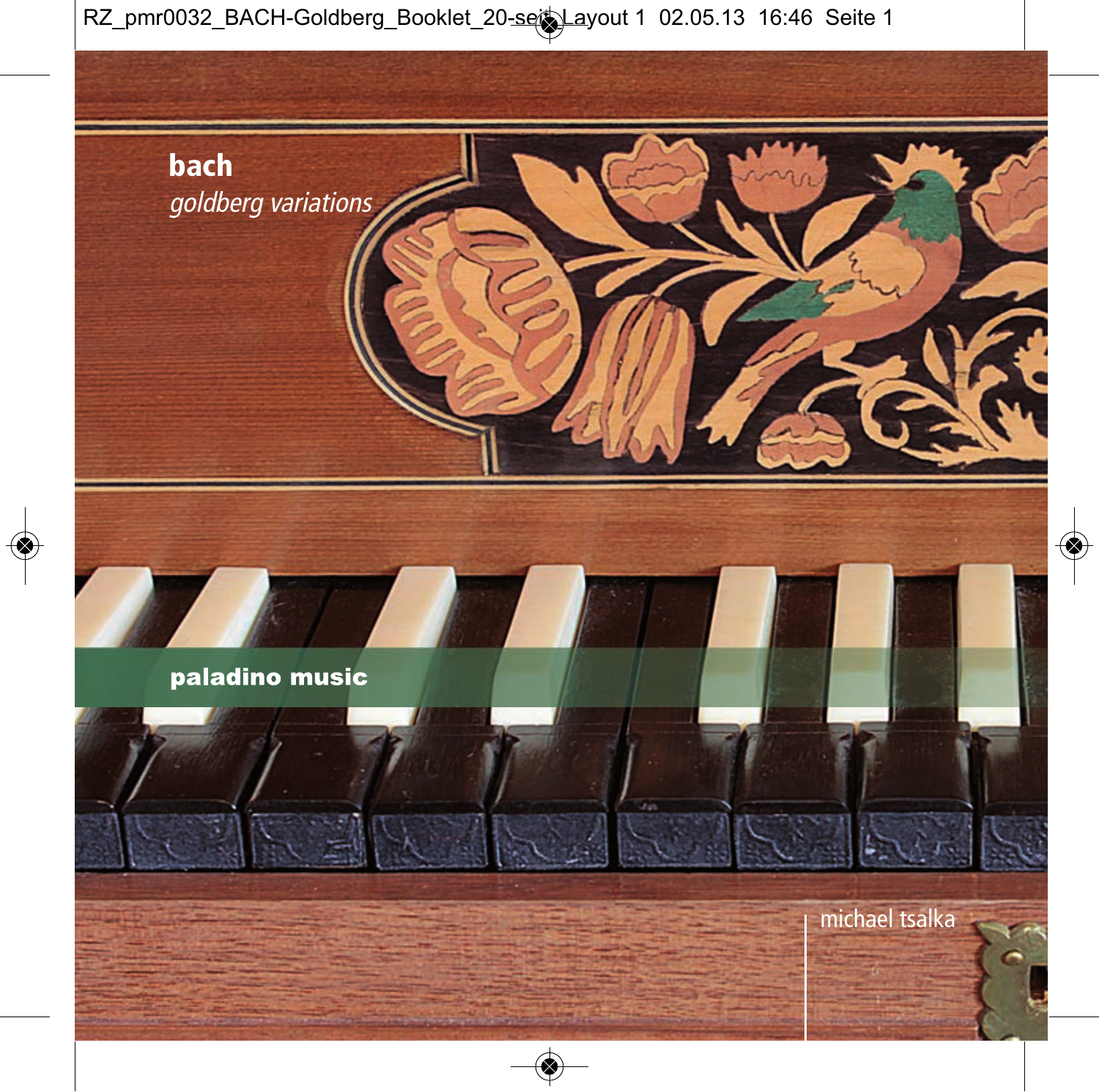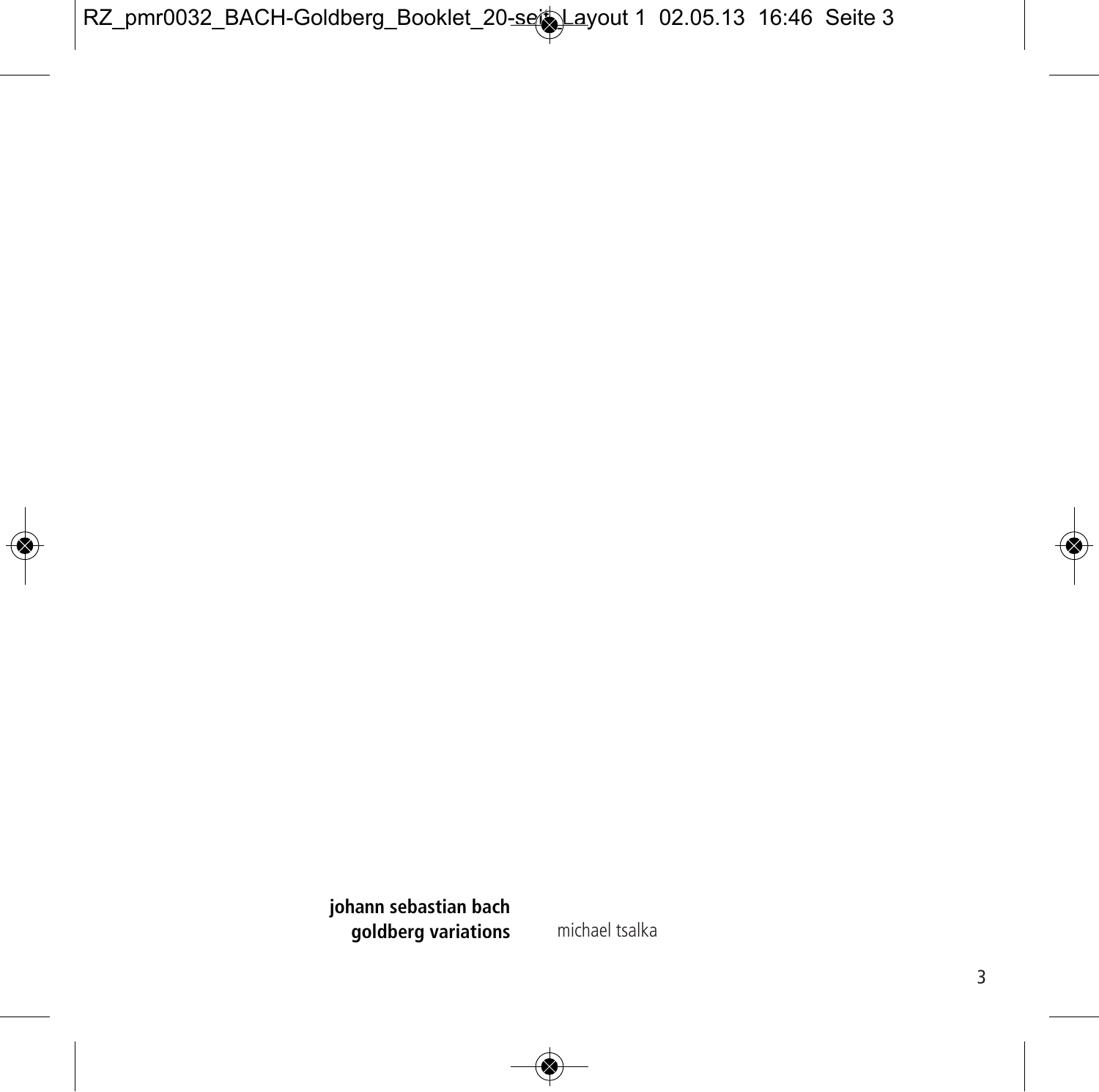**johann sebastian bach goldberg variations** michael tsalka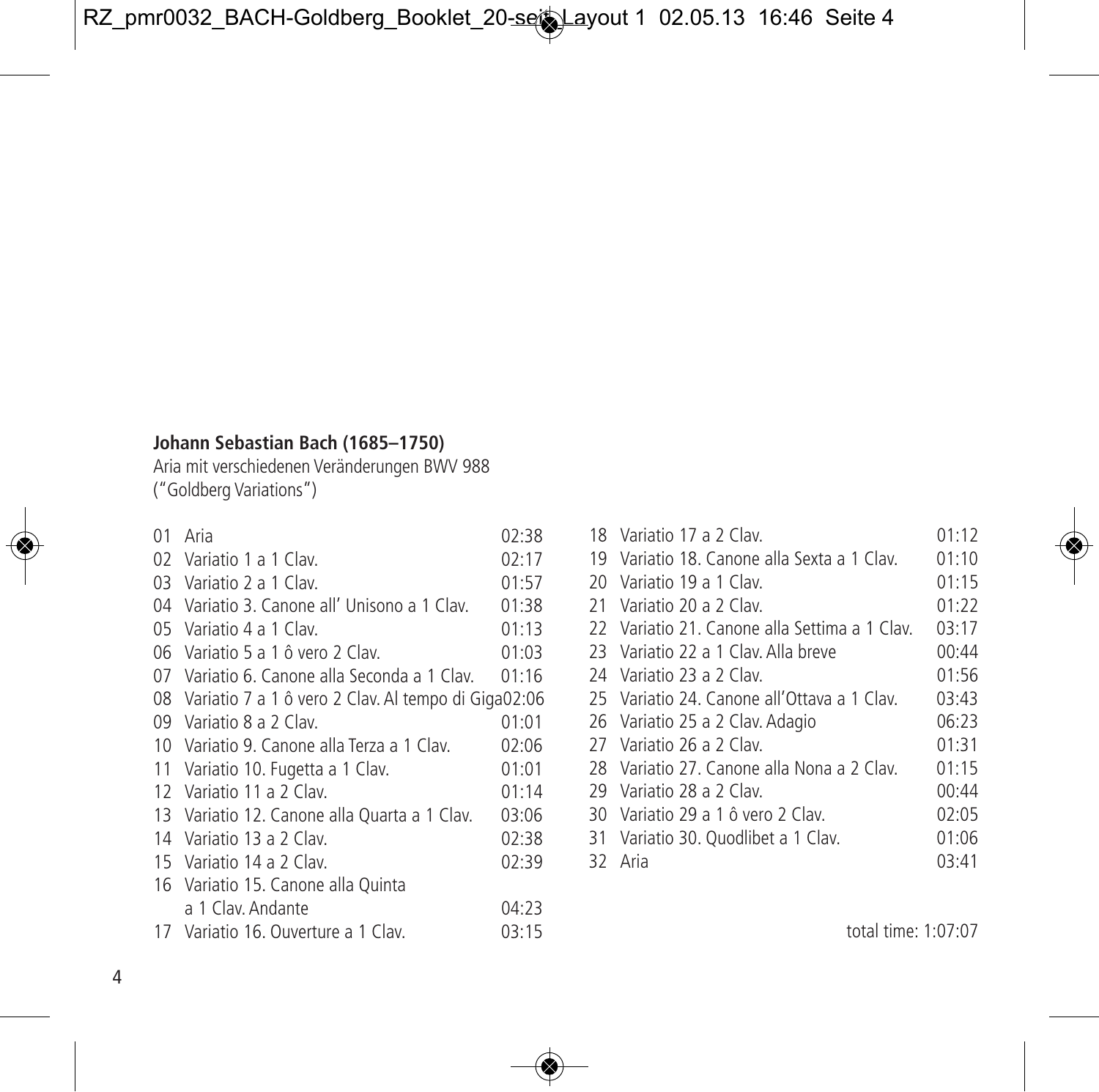## **Johann Sebastian Bach (1685–1750)**

Aria mit verschiedenen Veränderungen BWV 988 ("Goldberg Variations")

01 Aria (02:38)<br>02:38 02:39 02:39 02:39 02:47 02 Variatio 1 a 1 Clav. 02:17<br>03 Variatio 2 a 1 Clav. 02:57 03 Variatio 2 a 1 Clav. 01:57<br>04 Variatio 3 Canone all'Unisono a 1 Clav 01:38 04 Variatio 3. Canone all' Unisono a 1 Clav. 01:38<br>05 Variatio 4 a 1 Clav. 01:13 05 Variatio  $4 \times 1$  Clay 06 Variatio 5 a 1 ô vero 2 Clav. 01:03<br>07 Variatio 6 Canone alla Seconda a 1 Clav 01:16 07 Variatio 6. Canone alla Seconda a 1 Clav. 08 Variatio 7 a 1 ô vero 2 Clav. Al tempo di Giga02:06 09 Variatio 8 a 2 Clav.  $\frac{01:01}{0.01:01}$ 10 Variatio 9. Canone alla Terza a 1 Clav. 11 Variatio 10. Fugetta a 1 Clay. 01:01 12 Variatio 11 a 2 Clav.<br>13 Variatio 12 Canone alla Quarta a 1 Clav 03:06 13 Variatio 12. Canone alla Quarta a 1 Clav.  $0.3:06$ <br>14 Variatio 13 a 2 Clav 14 Variatio 13 a 2 Clav. 15 Variatio 14 a 2 Clav. 02:39 16 Variatio 15. Canone alla Quinta a 1 Clav. Andante 04:23<br>Variatio 16 Quiverture a 1 Clav 03:15 17 Variatio 16. Ouverture a 1 Clav.

|     | 18 Variatio 17 a 2 Clay.                      | 01:12 |
|-----|-----------------------------------------------|-------|
|     | 19 Variatio 18. Canone alla Sexta a 1 Clav.   | 01:10 |
|     | 20 Variatio 19 a 1 Clav.                      | 01:15 |
|     | 21 Variatio 20 a 2 Clav.                      | 01:22 |
|     | 22 Variatio 21. Canone alla Settima a 1 Clay. | 03:17 |
|     | 23 Variatio 22 a 1 Clay, Alla breve           | 00:44 |
|     | 24 Variatio 23 a 2 Clav.                      | 01:56 |
|     | 25 Variatio 24. Canone all'Ottava a 1 Clav.   | 03:43 |
|     | 26 Variatio 25 a 2 Clav. Adagio               | 06.23 |
|     | 27 Variatio 26 a 2 Clav.                      | 01:31 |
|     | 28 Variatio 27, Canone alla Nona a 2 Clav.    | 01:15 |
|     | 29 Variatio 28 a 2 Clav.                      | 00:44 |
|     | 30 Variatio 29 a 1 ô vero 2 Clay.             | 02:05 |
| 31  | Variatio 30. Ouodlibet a 1 Clav.              | 01:06 |
| 32. | Aria                                          | 03:41 |
|     |                                               |       |

total time: 1:07:07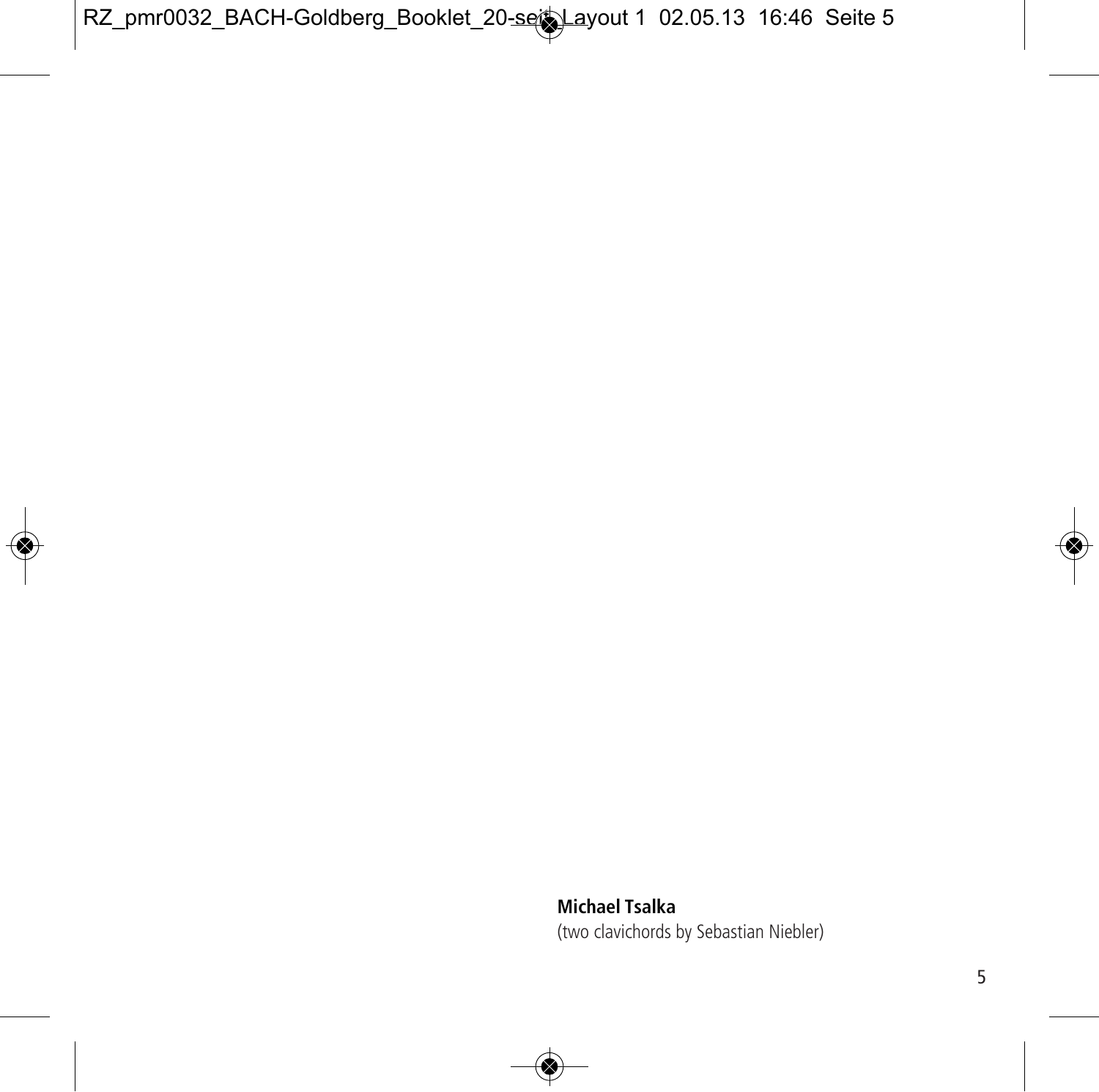**Michael Tsalka** (two clavichords by Sebastian Niebler)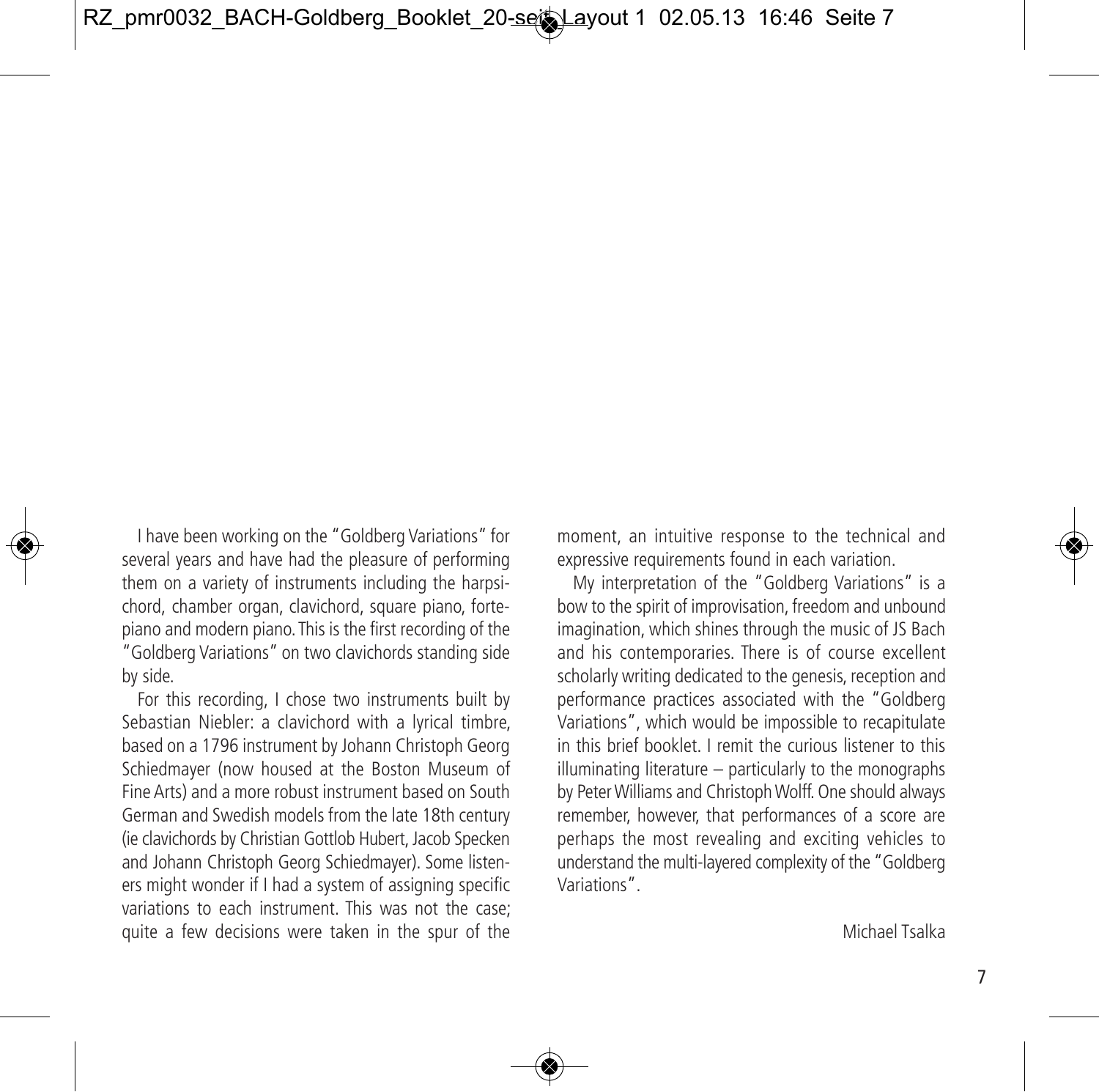I have been working on the "Goldberg Variations" for several years and have had the pleasure of performing them on a variety of instruments including the harpsichord, chamber organ, clavichord, square piano, fortepiano and modern piano. This is the first recording of the "Goldberg Variations" on two clavichords standing side by side.

For this recording, I chose two instruments built by Sebastian Niebler: a clavichord with a lyrical timbre, based on a 1796 instrument by Johann Christoph Georg Schiedmayer (now housed at the Boston Museum of Fine Arts) and a more robust instrument based on South German and Swedish models from the late 18th century (ie clavichords by Christian Gottlob Hubert, Jacob Specken and Johann Christoph Georg Schiedmayer). Some listeners might wonder if I had a system of assigning specific variations to each instrument. This was not the case; quite a few decisions were taken in the spur of the

moment, an intuitive response to the technical and expressive requirements found in each variation.

My interpretation of the "Goldberg Variations" is a bow to the spirit of improvisation, freedom and unbound imagination, which shines through the music of JS Bach and his contemporaries. There is of course excellent scholarly writing dedicated to the genesis, reception and performance practices associated with the "Goldberg Variations", which would be impossible to recapitulate in this brief booklet. I remit the curious listener to this illuminating literature – particularly to the monographs by Peter Williams and Christoph Wolff. One should always remember, however, that performances of a score are perhaps the most revealing and exciting vehicles to understand the multi-layered complexity of the "Goldberg Variations".

Michael Tsalka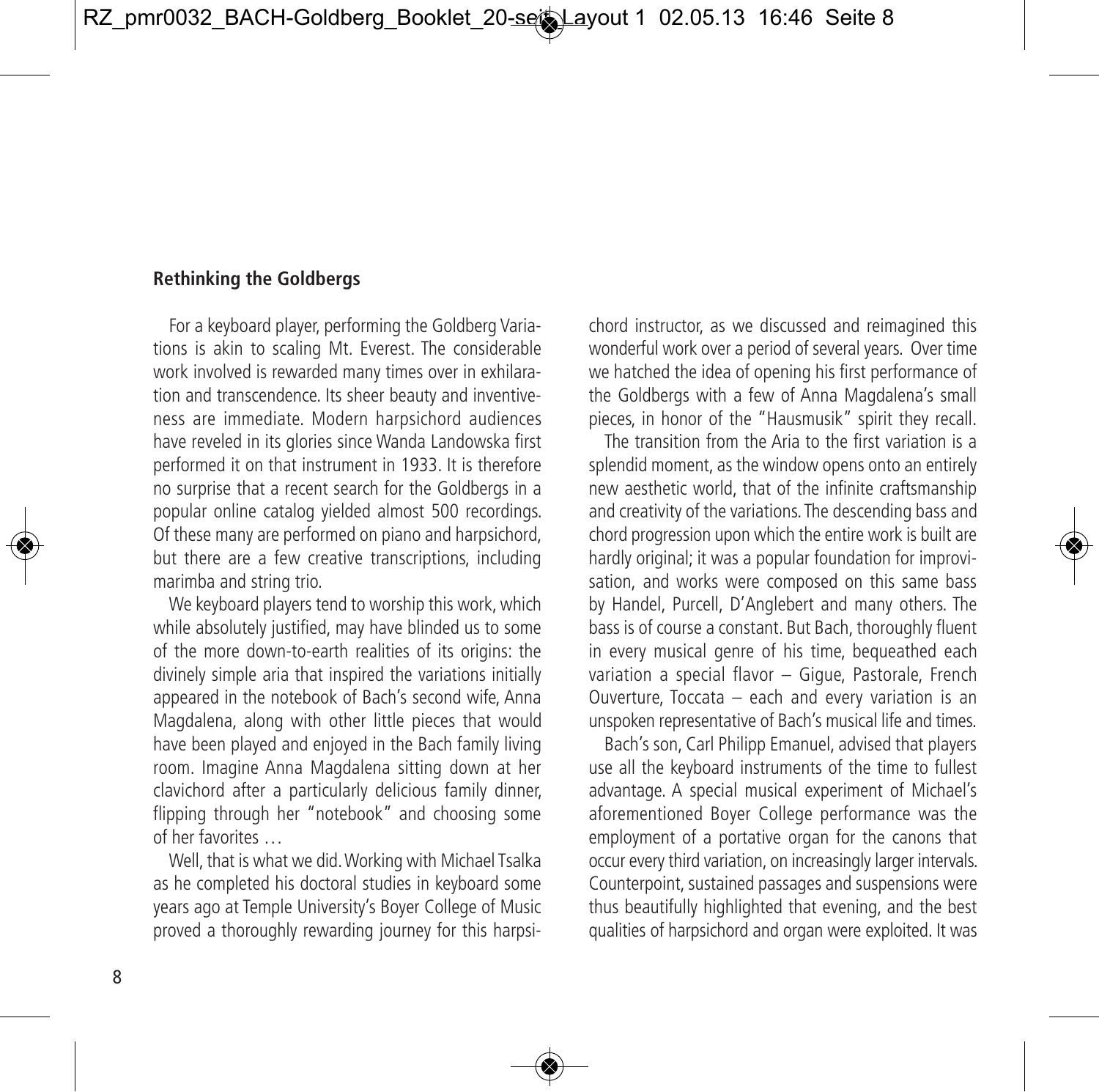## **Rethinking the Goldbergs**

For a keyboard player, performing the Goldberg Variations is akin to scaling Mt. Everest. The considerable work involved is rewarded many times over in exhilaration and transcendence. Its sheer beauty and inventiveness are immediate. Modern harpsichord audiences have reveled in its glories since Wanda Landowska first performed it on that instrument in 1933. It is therefore no surprise that a recent search for the Goldbergs in a popular online catalog yielded almost 500 recordings. Of these many are performed on piano and harpsichord, but there are a few creative transcriptions, including marimba and string trio.

We keyboard players tend to worship this work, which while absolutely justified, may have blinded us to some of the more down-to-earth realities of its origins: the divinely simple aria that inspired the variations initially appeared in the notebook of Bach's second wife, Anna Magdalena, along with other little pieces that would have been played and enjoyed in the Bach family living room. Imagine Anna Magdalena sitting down at her clavichord after a particularly delicious family dinner, flipping through her "notebook" and choosing some of her favorites …

Well, that is what we did. Working with Michael Tsalka as he completed his doctoral studies in keyboard some years ago at Temple University's Boyer College of Music proved a thoroughly rewarding journey for this harpsichord instructor, as we discussed and reimagined this wonderful work over a period of several years. Over time we hatched the idea of opening his first performance of the Goldbergs with a few of Anna Magdalena's small pieces, in honor of the "Hausmusik" spirit they recall.

The transition from the Aria to the first variation is a splendid moment, as the window opens onto an entirely new aesthetic world, that of the infinite craftsmanship and creativity of the variations. The descending bass and chord progression upon which the entire work is built are hardly original; it was a popular foundation for improvisation, and works were composed on this same bass by Handel, Purcell, D'Anglebert and many others. The bass is of course a constant. But Bach, thoroughly fluent in every musical genre of his time, bequeathed each variation a special flavor – Gigue, Pastorale, French Ouverture, Toccata – each and every variation is an unspoken representative of Bach's musical life and times.

Bach's son, Carl Philipp Emanuel, advised that players use all the keyboard instruments of the time to fullest advantage. A special musical experiment of Michael's aforementioned Boyer College performance was the employment of a portative organ for the canons that occur every third variation, on increasingly larger intervals. Counterpoint, sustained passages and suspensions were thus beautifully highlighted that evening, and the best qualities of harpsichord and organ were exploited. It was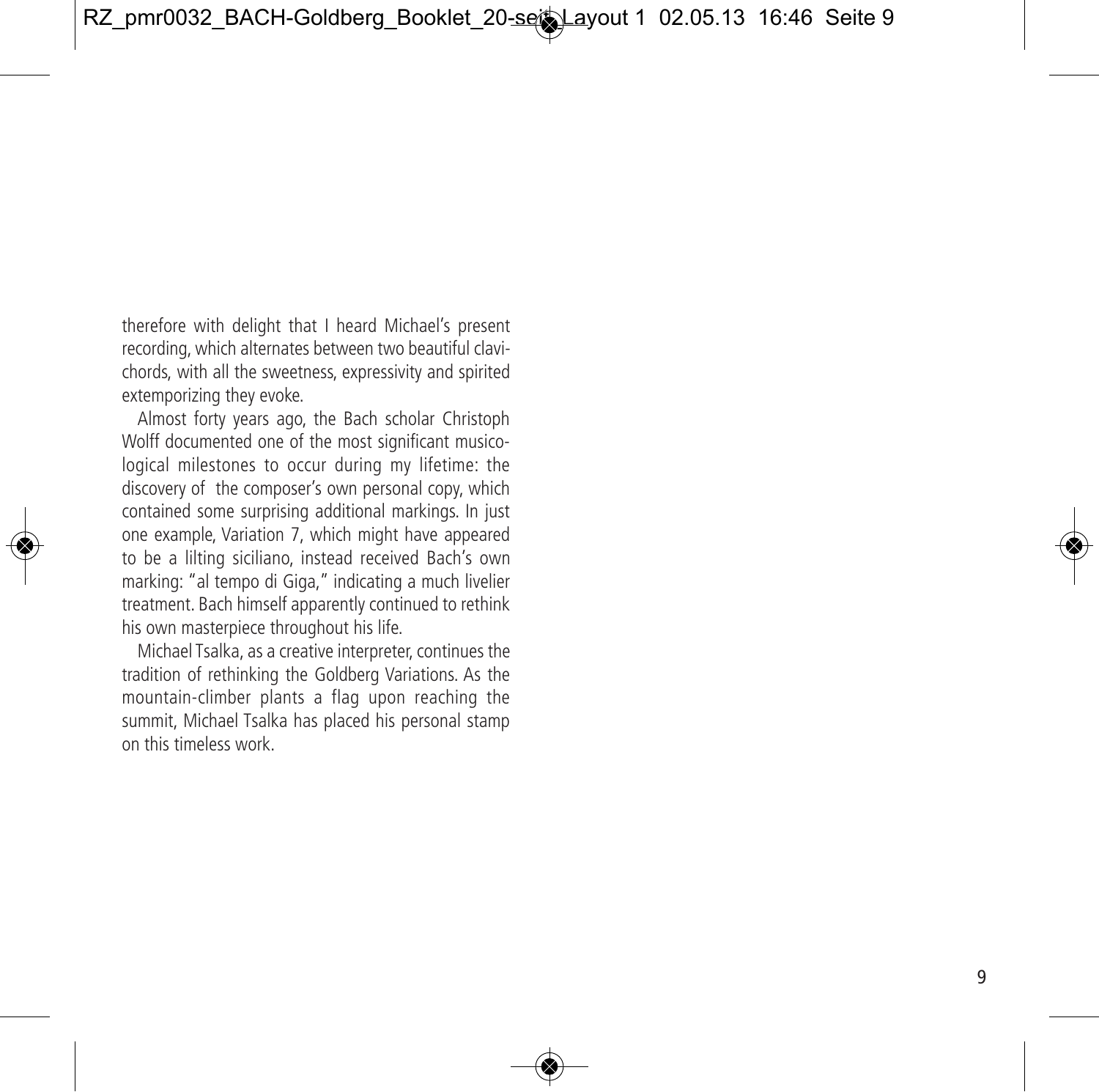therefore with delight that I heard Michael's present recording, which alternates between two beautiful clavichords, with all the sweetness, expressivity and spirited extemporizing they evoke.

Almost forty years ago, the Bach scholar Christoph Wolff documented one of the most significant musicological milestones to occur during my lifetime: the discovery of the composer's own personal copy, which contained some surprising additional markings. In just one example, Variation 7, which might have appeared to be a lilting siciliano, instead received Bach's own marking: "al tempo di Giga," indicating a much livelier treatment. Bach himself apparently continued to rethink his own masterpiece throughout his life.

Michael Tsalka, as a creative interpreter, continues the tradition of rethinking the Goldberg Variations. As the mountain-climber plants a flag upon reaching the summit, Michael Tsalka has placed his personal stamp on this timeless work.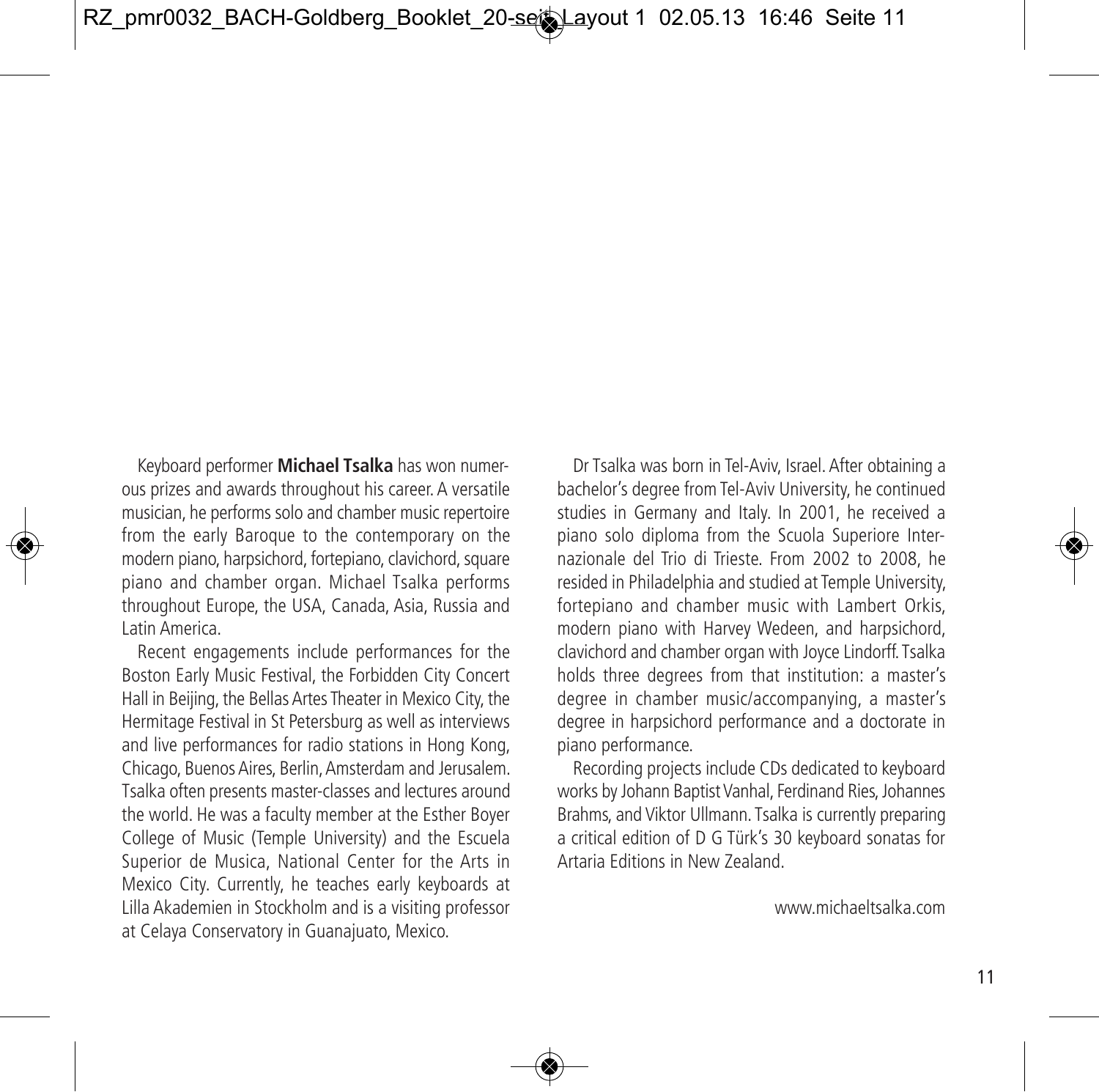Keyboard performer **Michael Tsalka** has won numerous prizes and awards throughout his career. A versatile musician, he performs solo and chamber music repertoire from the early Baroque to the contemporary on the modern piano, harpsichord, fortepiano, clavichord, square piano and chamber organ. Michael Tsalka performs throughout Europe, the USA, Canada, Asia, Russia and Latin America.

Recent engagements include performances for the Boston Early Music Festival, the Forbidden City Concert Hall in Beijing, the Bellas Artes Theater in Mexico City, the Hermitage Festival in St Petersburg as well as interviews and live performances for radio stations in Hong Kong, Chicago, Buenos Aires, Berlin, Amsterdam and Jerusalem. Tsalka often presents master-classes and lectures around the world. He was a faculty member at the Esther Boyer College of Music (Temple University) and the Escuela Superior de Musica, National Center for the Arts in Mexico City. Currently, he teaches early keyboards at Lilla Akademien in Stockholm and is a visiting professor at Celaya Conservatory in Guanajuato, Mexico.

Dr Tsalka was born in Tel-Aviv, Israel. After obtaining a bachelor's degree from Tel-Aviv University, he continued studies in Germany and Italy. In 2001, he received a piano solo diploma from the Scuola Superiore Internazionale del Trio di Trieste. From 2002 to 2008, he resided in Philadelphia and studied at Temple University, fortepiano and chamber music with Lambert Orkis, modern piano with Harvey Wedeen, and harpsichord, clavichord and chamber organ with Joyce Lindorff. Tsalka holds three degrees from that institution: a master's degree in chamber music/accompanying, a master's degree in harpsichord performance and a doctorate in piano performance.

Recording projects include CDs dedicated to keyboard works by Johann Baptist Vanhal, Ferdinand Ries, Johannes Brahms, and Viktor Ullmann. Tsalka is currently preparing a critical edition of D G Türk's 30 keyboard sonatas for Artaria Editions in New Zealand.

www.michaeltsalka.com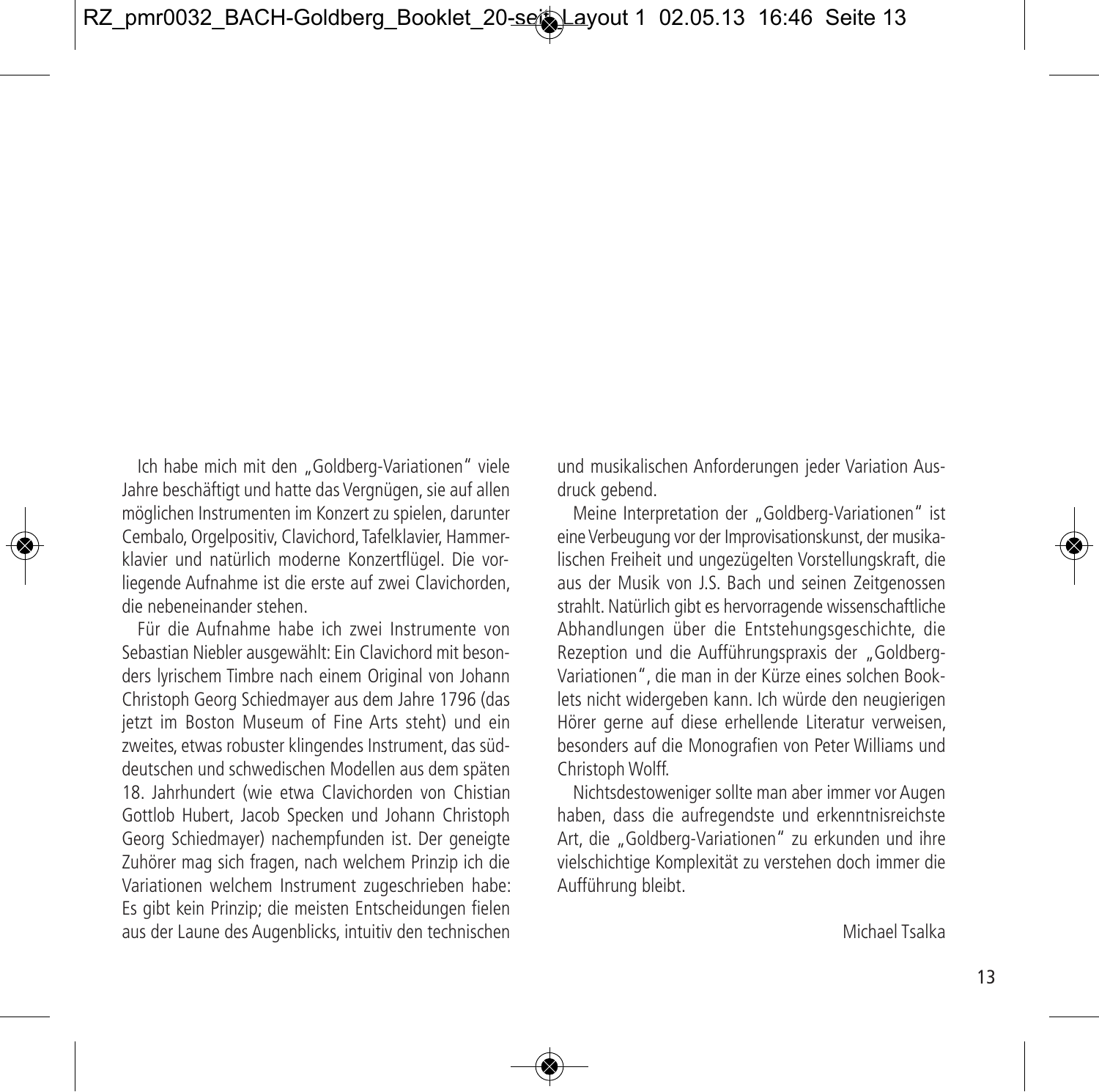Ich habe mich mit den "Goldberg-Variationen" viele Jahre beschäftigt und hatte das Vergnügen, sie auf allen möglichen Instrumenten im Konzert zu spielen, darunter Cembalo, Orgelpositiv, Clavichord, Tafelklavier, Hammerklavier und natürlich moderne Konzertflügel. Die vorliegende Aufnahme ist die erste auf zwei Clavichorden, die nebeneinander stehen.

Für die Aufnahme habe ich zwei Instrumente von Sebastian Niebler ausgewählt: Ein Clavichord mit besonders lyrischem Timbre nach einem Original von Johann Christoph Georg Schiedmayer aus dem Jahre 1796 (das jetzt im Boston Museum of Fine Arts steht) und ein zweites, etwas robuster klingendes Instrument, das süddeutschen und schwedischen Modellen aus dem späten 18. Jahrhundert (wie etwa Clavichorden von Chistian Gottlob Hubert, Jacob Specken und Johann Christoph Georg Schiedmayer) nachempfunden ist. Der geneigte Zuhörer mag sich fragen, nach welchem Prinzip ich die Variationen welchem Instrument zugeschrieben habe: Es gibt kein Prinzip; die meisten Entscheidungen fielen aus der Laune des Augenblicks, intuitiv den technischen

und musikalischen Anforderungen jeder Variation Ausdruck gebend.

Meine Interpretation der "Goldberg-Variationen" ist eine Verbeugung vor der Improvisationskunst, der musikalischen Freiheit und ungezügelten Vorstellungskraft, die aus der Musik von J.S. Bach und seinen Zeitgenossen strahlt. Natürlich gibt es hervorragende wissenschaftliche Abhandlungen über die Entstehungsgeschichte, die Rezeption und die Aufführungspraxis der "Goldberg-Variationen", die man in der Kürze eines solchen Booklets nicht widergeben kann. Ich würde den neugierigen Hörer gerne auf diese erhellende Literatur verweisen, besonders auf die Monografien von Peter Williams und Christoph Wolff.

Nichtsdestoweniger sollte man aber immer vor Augen haben, dass die aufregendste und erkenntnisreichste Art, die Goldberg-Variationen" zu erkunden und ihre vielschichtige Komplexität zu verstehen doch immer die Aufführung bleibt.

Michael Tsalka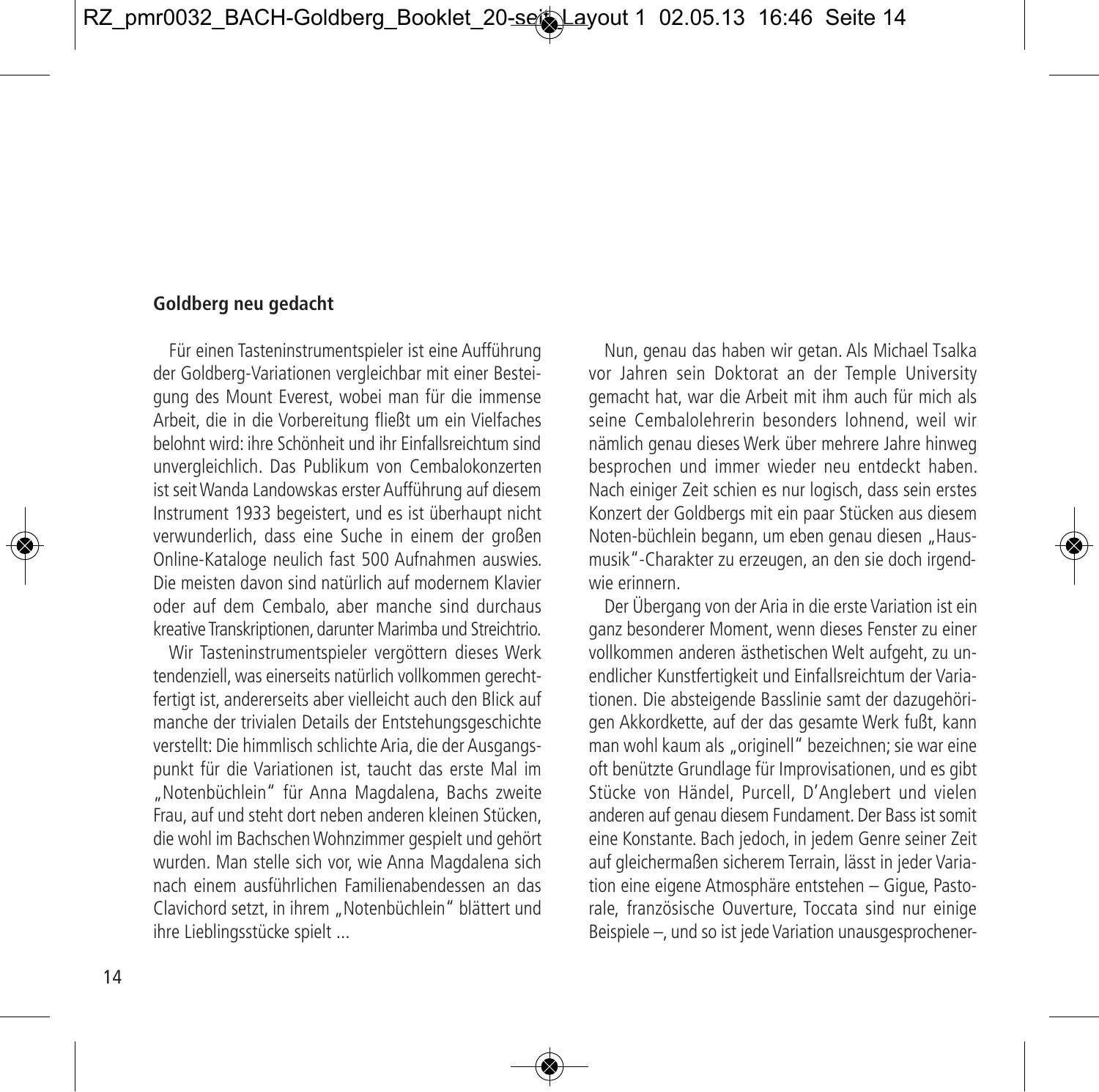## **Goldberg neu gedacht**

Für einen Tasteninstrumentspieler ist eine Aufführung der Goldberg-Variationen vergleichbar mit einer Besteigung des Mount Everest, wobei man für die immense Arbeit, die in die Vorbereitung fließt um ein Vielfaches belohnt wird: ihre Schönheit und ihr Einfallsreichtum sind unvergleichlich. Das Publikum von Cembalokonzerten ist seit Wanda Landowskas erster Aufführung auf diesem Instrument 1933 begeistert, und es ist überhaupt nicht verwunderlich, dass eine Suche in einem der großen Online-Kataloge neulich fast 500 Aufnahmen auswies. Die meisten davon sind natürlich auf modernem Klavier oder auf dem Cembalo, aber manche sind durchaus kreative Transkriptionen, darunter Marimba und Streichtrio.

Wir Tasteninstrumentspieler vergöttern dieses Werk tendenziell, was einerseits natürlich vollkommen gerechtfertigt ist, andererseits aber vielleicht auch den Blick auf manche der trivialen Details der Entstehungsgeschichte verstellt: Die himmlisch schlichte Aria, die der Ausgangspunkt für die Variationen ist, taucht das erste Mal im "Notenbüchlein" für Anna Magdalena, Bachs zweite Frau, auf und steht dort neben anderen kleinen Stücken, die wohl im Bachschen Wohnzimmer gespielt und gehört wurden. Man stelle sich vor, wie Anna Magdalena sich nach einem ausführlichen Familienabendessen an das Clavichord setzt, in ihrem "Notenbüchlein" blättert und ihre Lieblingsstücke spielt ...

Nun, genau das haben wir getan. Als Michael Tsalka vor Jahren sein Doktorat an der Temple University gemacht hat, war die Arbeit mit ihm auch für mich als seine Cembalolehrerin besonders lohnend, weil wir nämlich genau dieses Werk über mehrere Jahre hinweg besprochen und immer wieder neu entdeckt haben. Nach einiger Zeit schien es nur logisch, dass sein erstes Konzert der Goldbergs mit ein paar Stücken aus diesem Noten-büchlein begann, um eben genau diesen "Hausmusik"-Charakter zu erzeugen, an den sie doch irgendwie erinnern.

Der Übergang von der Aria in die erste Variation ist ein ganz besonderer Moment, wenn dieses Fenster zu einer vollkommen anderen ästhetischen Welt aufgeht, zu unendlicher Kunstfertigkeit und Einfallsreichtum der Variationen. Die absteigende Basslinie samt der dazugehörigen Akkordkette, auf der das gesamte Werk fußt, kann man wohl kaum als "originell" bezeichnen; sie war eine oft benützte Grundlage für Improvisationen, und es gibt Stücke von Händel, Purcell, D'Anglebert und vielen anderen auf genau diesem Fundament. Der Bass ist somit eine Konstante. Bach jedoch, in jedem Genre seiner Zeit auf gleichermaßen sicherem Terrain, lässt in jeder Variation eine eigene Atmosphäre entstehen – Gigue, Pastorale, französische Ouverture, Toccata sind nur einige Beispiele –, und so ist jede Variation unausgesprochener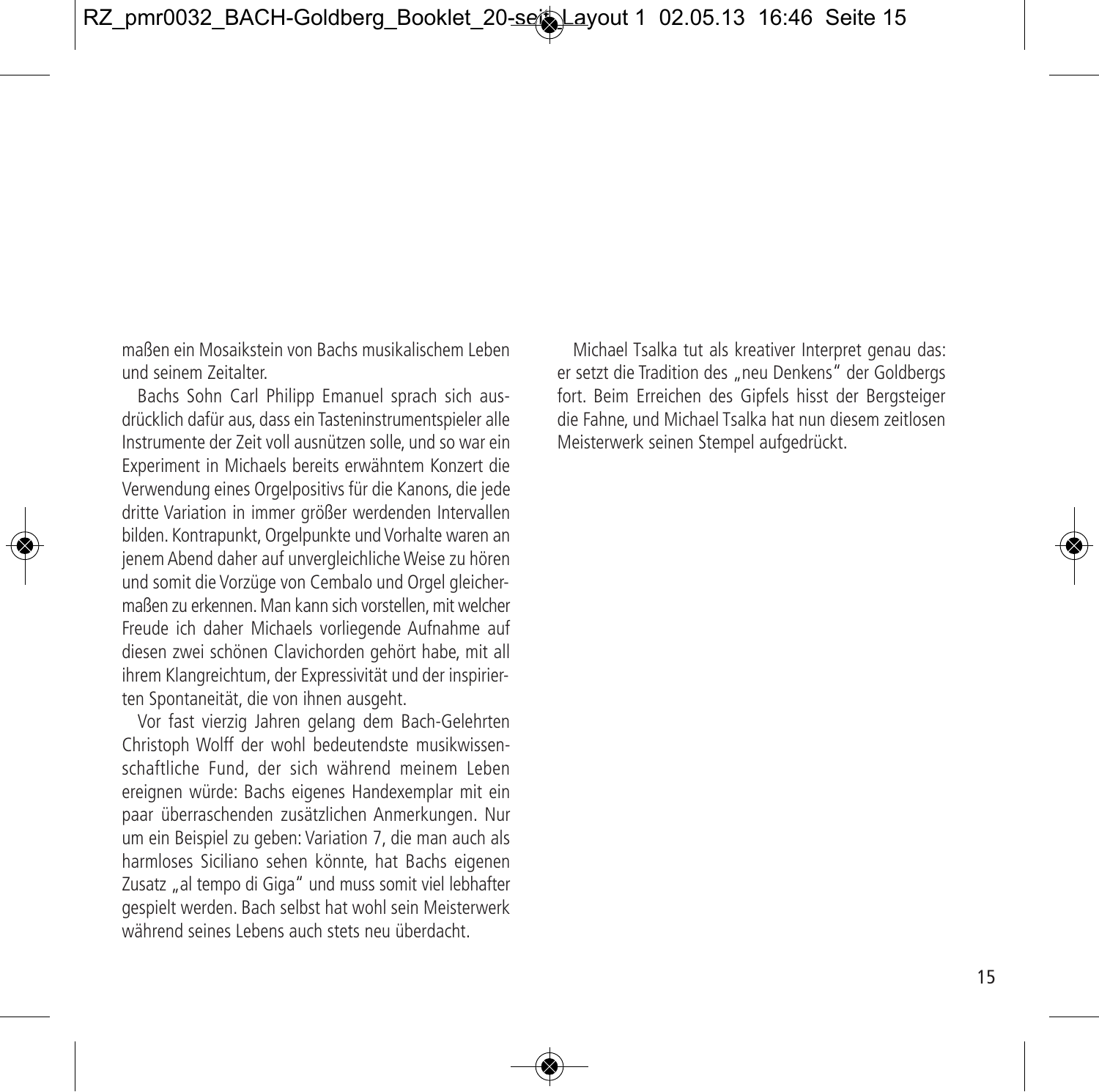maßen ein Mosaikstein von Bachs musikalischem Leben und seinem Zeitalter.

Bachs Sohn Carl Philipp Emanuel sprach sich ausdrücklich dafür aus, dass ein Tasteninstrumentspieler alle Instrumente der Zeit voll ausnützen solle, und so war ein Experiment in Michaels bereits erwähntem Konzert die Verwendung eines Orgelpositivs für die Kanons, die jede dritte Variation in immer größer werdenden Intervallen bilden. Kontrapunkt, Orgelpunkte und Vorhalte waren an jenem Abend daher auf unvergleichliche Weise zu hören und somit die Vorzüge von Cembalo und Orgel gleichermaßen zu erkennen. Man kann sich vorstellen, mit welcher Freude ich daher Michaels vorliegende Aufnahme auf diesen zwei schönen Clavichorden gehört habe, mit all ihrem Klangreichtum, der Expressivität und der inspirierten Spontaneität, die von ihnen ausgeht.

Vor fast vierzig Jahren gelang dem Bach-Gelehrten Christoph Wolff der wohl bedeutendste musikwissenschaftliche Fund, der sich während meinem Leben ereignen würde: Bachs eigenes Handexemplar mit ein paar überraschenden zusätzlichen Anmerkungen. Nur um ein Beispiel zu geben: Variation 7, die man auch als harmloses Siciliano sehen könnte, hat Bachs eigenen Zusatz "al tempo di Giga" und muss somit viel lebhafter gespielt werden. Bach selbst hat wohl sein Meisterwerk während seines Lebens auch stets neu überdacht.

Michael Tsalka tut als kreativer Interpret genau das: er setzt die Tradition des "neu Denkens" der Goldbergs fort. Beim Erreichen des Gipfels hisst der Bergsteiger die Fahne, und Michael Tsalka hat nun diesem zeitlosen Meisterwerk seinen Stempel aufgedrückt.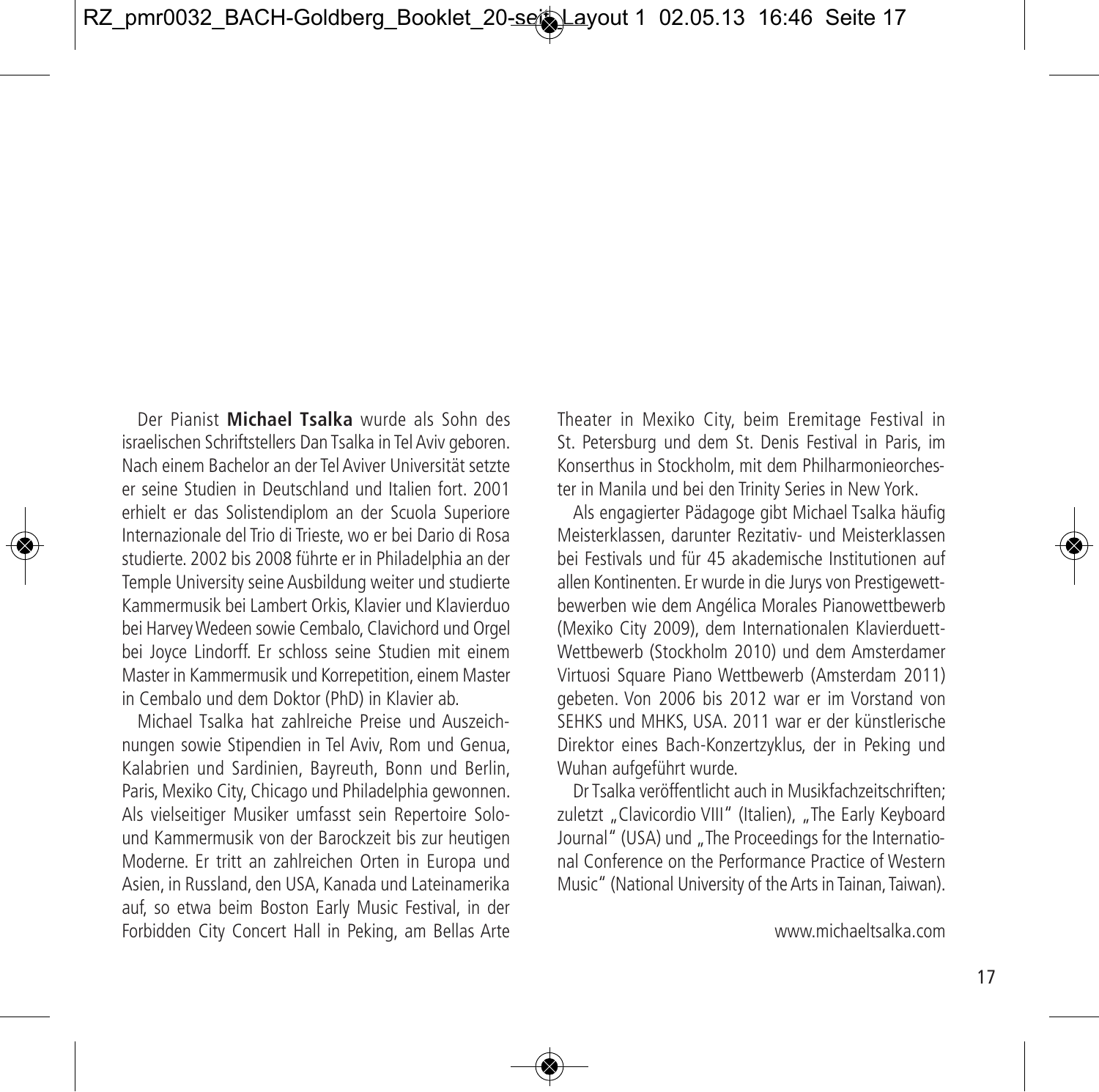Der Pianist **Michael Tsalka** wurde als Sohn des israelischen Schriftstellers Dan Tsalka in Tel Aviv geboren. Nach einem Bachelor an der Tel Aviver Universität setzte er seine Studien in Deutschland und Italien fort. 2001 erhielt er das Solistendiplom an der Scuola Superiore Internazionale del Trio di Trieste, wo er bei Dario di Rosa studierte. 2002 bis 2008 führte er in Philadelphia an der Temple University seine Ausbildung weiter und studierte Kammermusik bei Lambert Orkis, Klavier und Klavierduo bei Harvey Wedeen sowie Cembalo, Clavichord und Orgel bei Joyce Lindorff. Er schloss seine Studien mit einem Master in Kammermusik und Korrepetition, einem Master in Cembalo und dem Doktor (PhD) in Klavier ab.

Michael Tsalka hat zahlreiche Preise und Auszeichnungen sowie Stipendien in Tel Aviv, Rom und Genua, Kalabrien und Sardinien, Bayreuth, Bonn und Berlin, Paris, Mexiko City, Chicago und Philadelphia gewonnen. Als vielseitiger Musiker umfasst sein Repertoire Solound Kammermusik von der Barockzeit bis zur heutigen Moderne. Er tritt an zahlreichen Orten in Europa und Asien, in Russland, den USA, Kanada und Lateinamerika auf, so etwa beim Boston Early Music Festival, in der Forbidden City Concert Hall in Peking, am Bellas Arte Theater in Mexiko City, beim Eremitage Festival in St. Petersburg und dem St. Denis Festival in Paris, im Konserthus in Stockholm, mit dem Philharmonieorchester in Manila und bei den Trinity Series in New York.

Als engagierter Pädagoge gibt Michael Tsalka häufig Meisterklassen, darunter Rezitativ- und Meisterklassen bei Festivals und für 45 akademische Institutionen auf allen Kontinenten. Er wurde in die Jurys von Prestigewettbewerben wie dem Angélica Morales Pianowettbewerb (Mexiko City 2009), dem Internationalen Klavierduett-Wettbewerb (Stockholm 2010) und dem Amsterdamer Virtuosi Square Piano Wettbewerb (Amsterdam 2011) gebeten. Von 2006 bis 2012 war er im Vorstand von SEHKS und MHKS, USA. 2011 war er der künstlerische Direktor eines Bach-Konzertzyklus, der in Peking und Wuhan aufgeführt wurde.

Dr Tsalka veröffentlicht auch in Musikfachzeitschriften; zuletzt "Clavicordio VIII" (Italien), "The Early Keyboard Journal" (USA) und ... The Proceedings for the International Conference on the Performance Practice of Western Music" (National University of the Arts in Tainan, Taiwan).

www.michaeltsalka.com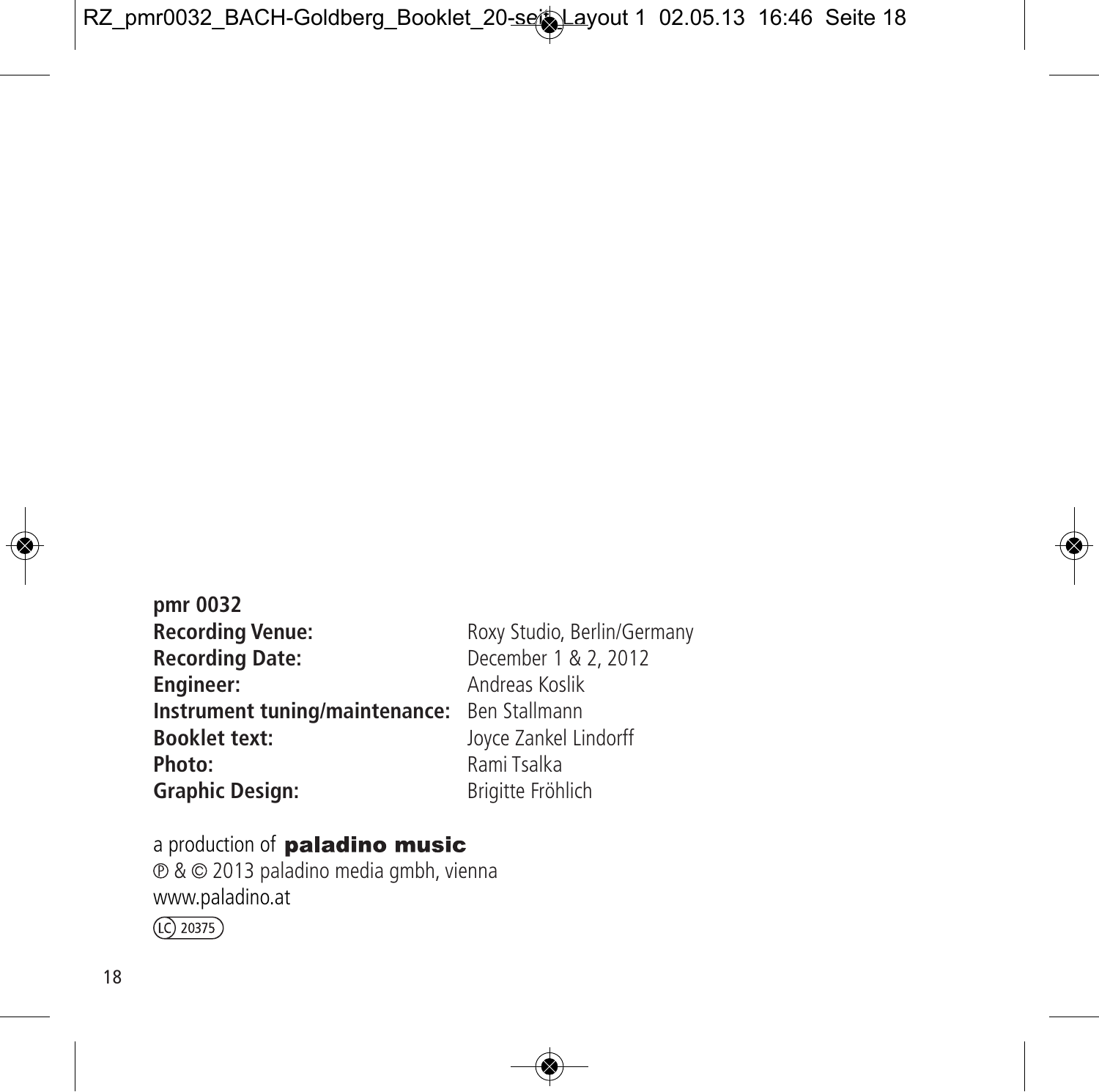| pmr 0032                                     |                             |  |
|----------------------------------------------|-----------------------------|--|
| <b>Recording Venue:</b>                      | Roxy Studio, Berlin/Germany |  |
| <b>Recording Date:</b>                       | December 1 & 2, 2012        |  |
| Engineer:                                    | Andreas Koslik              |  |
| Instrument tuning/maintenance: Ben Stallmann |                             |  |
| <b>Booklet text:</b>                         | Joyce Zankel Lindorff       |  |
| Photo:                                       | Rami Tsalka                 |  |
| <b>Graphic Design:</b>                       | Brigitte Fröhlich           |  |
|                                              |                             |  |

a production of **paladino music** & 2013 paladino media gmbh, vienna www.paladino.at

 $(\overline{1C})$  20375)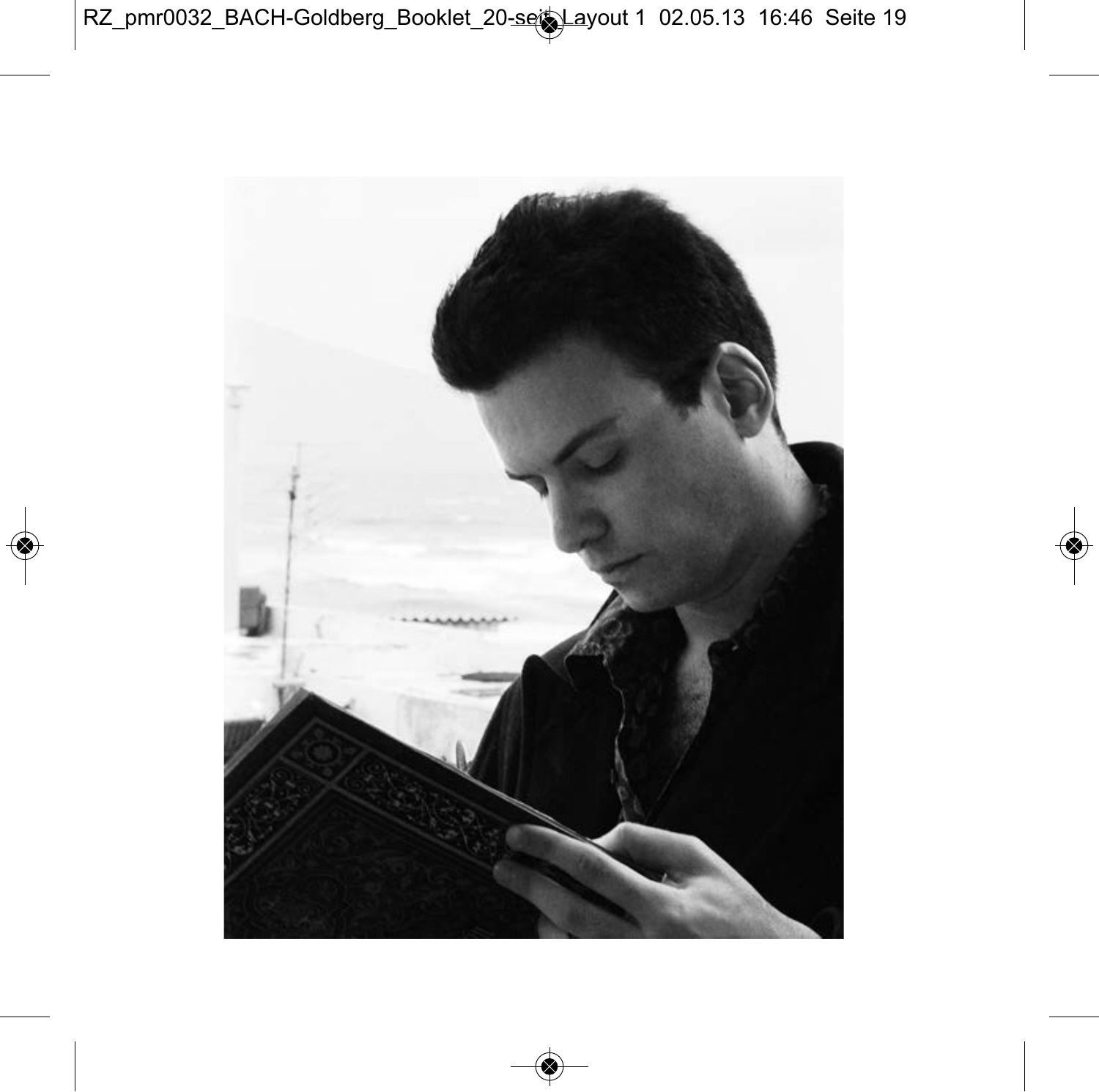